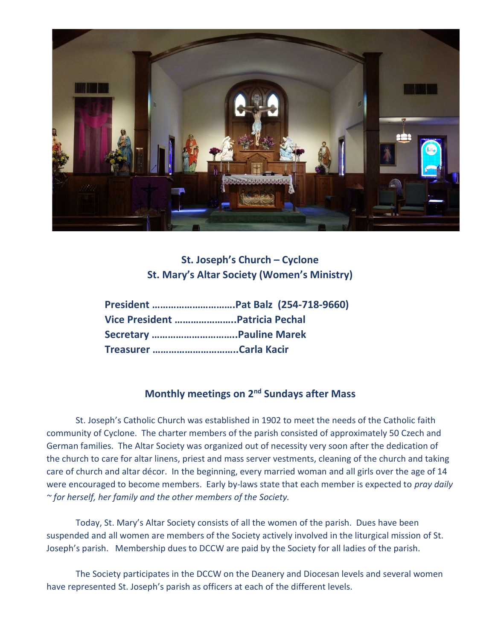

St. Joseph's Church – Cyclone St. Mary's Altar Society (Women's Ministry)

| Vice President Patricia Pechal |  |
|--------------------------------|--|
|                                |  |
| Treasurer Carla Kacir          |  |

## Monthly meetings on 2<sup>nd</sup> Sundays after Mass

St. Joseph's Catholic Church was established in 1902 to meet the needs of the Catholic faith community of Cyclone. The charter members of the parish consisted of approximately 50 Czech and German families. The Altar Society was organized out of necessity very soon after the dedication of the church to care for altar linens, priest and mass server vestments, cleaning of the church and taking care of church and altar décor. In the beginning, every married woman and all girls over the age of 14 were encouraged to become members. Early by-laws state that each member is expected to pray daily  $\sim$  for herself, her family and the other members of the Society.

Today, St. Mary's Altar Society consists of all the women of the parish. Dues have been suspended and all women are members of the Society actively involved in the liturgical mission of St. Joseph's parish. Membership dues to DCCW are paid by the Society for all ladies of the parish.

The Society participates in the DCCW on the Deanery and Diocesan levels and several women have represented St. Joseph's parish as officers at each of the different levels.